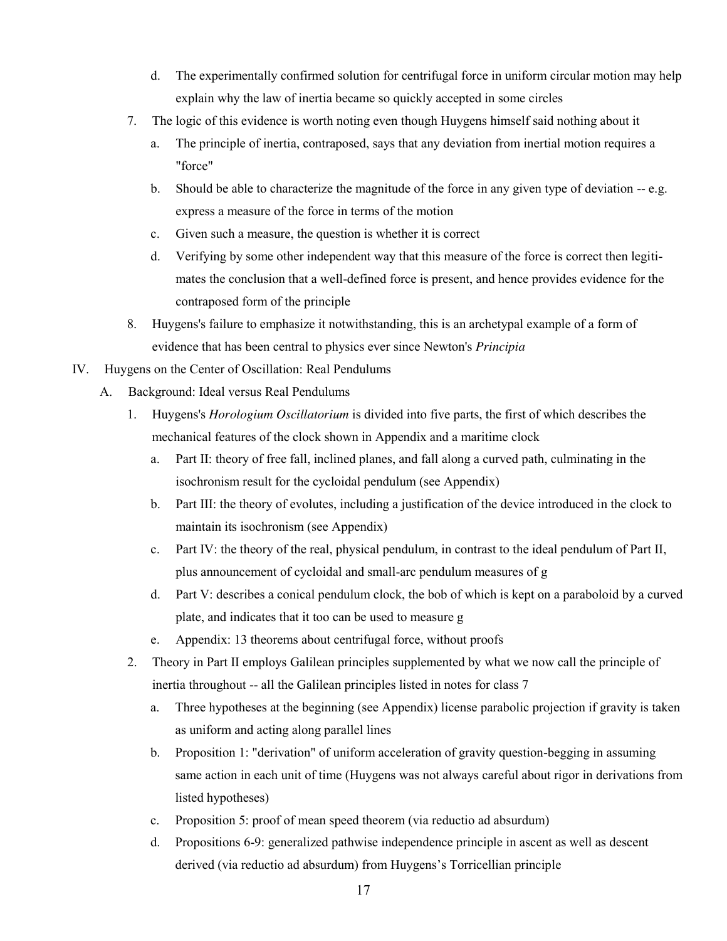- d. The experimentally confirmed solution for centrifugal force in uniform circular motion may help explain why the law of inertia became so quickly accepted in some circles
- 7. The logic of this evidence is worth noting even though Huygens himself said nothing about it
	- a. The principle of inertia, contraposed, says that any deviation from inertial motion requires a "force"
	- b. Should be able to characterize the magnitude of the force in any given type of deviation -- e.g. express a measure of the force in terms of the motion
	- c. Given such a measure, the question is whether it is correct
	- d. Verifying by some other independent way that this measure of the force is correct then legitimates the conclusion that a well-defined force is present, and hence provides evidence for the contraposed form of the principle
- 8. Huygens's failure to emphasize it notwithstanding, this is an archetypal example of a form of evidence that has been central to physics ever since Newton's *Principia*
- IV. Huygens on the Center of Oscillation: Real Pendulums
	- A. Background: Ideal versus Real Pendulums
		- 1. Huygens's *Horologium Oscillatorium* is divided into five parts, the first of which describes the mechanical features of the clock shown in Appendix and a maritime clock
			- a. Part II: theory of free fall, inclined planes, and fall along a curved path, culminating in the isochronism result for the cycloidal pendulum (see Appendix)
			- b. Part III: the theory of evolutes, including a justification of the device introduced in the clock to maintain its isochronism (see Appendix)
			- c. Part IV: the theory of the real, physical pendulum, in contrast to the ideal pendulum of Part II, plus announcement of cycloidal and small-arc pendulum measures of g
			- d. Part V: describes a conical pendulum clock, the bob of which is kept on a paraboloid by a curved plate, and indicates that it too can be used to measure g
			- e. Appendix: 13 theorems about centrifugal force, without proofs
		- 2. Theory in Part II employs Galilean principles supplemented by what we now call the principle of inertia throughout -- all the Galilean principles listed in notes for class 7
			- a. Three hypotheses at the beginning (see Appendix) license parabolic projection if gravity is taken as uniform and acting along parallel lines
			- b. Proposition 1: "derivation" of uniform acceleration of gravity question-begging in assuming same action in each unit of time (Huygens was not always careful about rigor in derivations from listed hypotheses)
			- c. Proposition 5: proof of mean speed theorem (via reductio ad absurdum)
			- d. Propositions 6-9: generalized pathwise independence principle in ascent as well as descent derived (via reductio ad absurdum) from Huygens's Torricellian principle